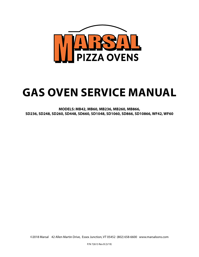

# **GAS OVEN SERVICE MANUAL**

**MODELS: MB42, MB60, MB236, MB260, MB866, SD236, SD248, SD260, SD448, SD660, SD1048, SD1060, SD866, SD10866, WF42, WF60**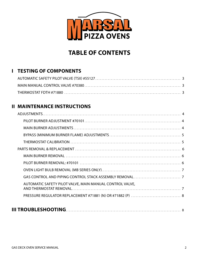

# **TABLE OF CONTENTS**

# **I TESTING OF COMPONENTS**

### **II MAINTENANCE INSTRUCTIONS**

| AUTOMATIC SAFETY PILOT VALVE, MAIN MANUAL CONTROL VALVE, |  |
|----------------------------------------------------------|--|
|                                                          |  |
|                                                          |  |
|                                                          |  |

|--|--|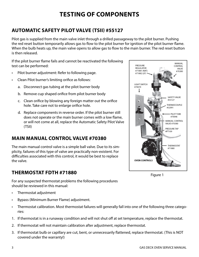# **TESTING OF COMPONENTS**

# **AUTOMATIC SAFETY PILOT VALVE (TSII) #55127**

Pilot gas is supplied from the main valve inlet through a drilled passageway to the pilot burner. Pushing the red reset button temporarily allows gas to flow to the pilot burner for ignition of the pilot burner flame. When the bulb heats up, the main valve opens to allow gas to flow to the main burner. The red reset button is then released.

If the pilot burner flame fails and cannot be reactivated the following test can be performed:

- Pilot burner adjustment: Refer to following page.
- Clean Pilot burner's limiting orifice as follows:
	- a. Disconnect gas tubing at the pilot burner body
	- b. Remove cup shaped orifice from pilot burner body
	- c. Clean orifice by blowing any foreign matter out the orifice hole. Take care not to enlarge orifice hole.
	- d. Replace components in reverse order. If the pilot burner still does not operate or the main burner comes with a low flame, or will not come at all, replace the Automatic Safety Pilot Valve (TSII)

### **MAIN MANUAL CONTROL VALVE #70380**

The main manual control valve is a simple ball valve. Due to its simplicity, failures of this type of valve are practically non-existent. For difficulties associated with this control, it would be best to replace the valve.

# **THERMOSTAT FDTH #71880**



Figure 1

For any suspected thermostat problems the following procedures should be reviewed in this manual:

- Thermostat adjustment
- Bypass (Minimum Burner Flame) adjustment.
- Thermostat calibration. Most thermostat failures will generally fall into one of the following three categories:
- 1. If thermostat is in a runaway condition and will not shut off at set temperature, replace the thermostat.
- 2. If thermostat will not maintain calibration after adjustment, replace thermostat.
- 3. If thermostat bulb or capillary are cut, bent, or unnecessarily flattened, replace thermostat. (This is NOT covered under the warranty!)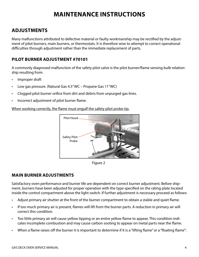# **MAINTENANCE INSTRUCTIONS**

### **ADJUSTMENTS**

Many malfunctions attributed to defective material or faulty workmanship may be rectified by the adjustment of pilot burners, main burners, or thermostats. It is therefore wise to attempt to correct operational difficulties through adjustment rather than the immediate replacement of parts.

#### **PILOT BURNER ADJUSTMENT #70101**

A commonly diagnosed malfunction of the safety pilot valve is the pilot burner/flame sensing bulb relationship resulting from:

- Improper draft
- Low gas pressure. (Natural Gas 4.5" WC Propane Gas 11"WC)
- Clogged pilot burner orifice from dirt and debris from unpurged gas lines.
- Incorrect adjustment of pilot burner flame.

#### When working correctly, the flame must engulf the safety pilot probe tip.



Figure 2

#### **MAIN BURNER ADJUSTMENTS**

Satisfactory oven performance and burner life are dependent on correct burner adjustment. Before shipment, burners have been adjusted for proper operation with the type specified on the rating plate located inside the control compartment above the light switch. If further adjustment is necessary proceed as follows:

- Adjust primary air shutter at the front of the burner compartment to obtain a stable and quiet flame.
- If too much primary air is present, flames will lift from the burner parts. A reduction in primary air will correct this condition.
- Too little primary air will cause yellow tipping or an entire yellow flame to appear. This condition indicates incomplete combustion and may cause carbon sooting to appear on metal parts near the flame.
- When a flame raises off the burner it is important to determine if it is a "lifting flame" or a "floating flame":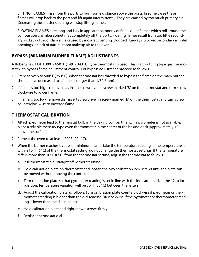LIFTING FLAMES - rise from the ports to burn some distance above the ports. In some cases these flames will drop back to the port and lift again intermittently. They are caused by too much primary air. Decreasing the shutter opening will stop lifting flames.

FLOATING FLAMES - are long and lazy in appearance, poorly defined, quiet flames which roll around the combustion chamber sometimes completely off the ports. Floating flames result from too little secondary air. Lack of secondary air is caused by incorrect venting, clogged flueways, blocked secondary air inlet openings, or lack of natural room makeup air to the oven.

#### **BYPASS (MINIMUM BURNER FLAME) ADJUSTMENTS**

A Robertshaw FDTH 300° - 650° F (149° - 343° C) type thermostat is used. This is a throttling type gas thermostat with bypass flame adjustment control. For bypass adjustment proceed as follows:

- 1. Preheat oven to 500° F (260° C). When thermostat has throttled to bypass the flame on the main burner should have decreased to a flame no larger than 1/8" (6mm)
- 2. If flame is too high, remove dial, insert screwdriver in screw marked "B" on the thermostat and turn screw clockwise to lower flame.
- 3. If flame is too low, remove dial, insert screwdriver in screw marked "B" on the thermostat and turn screw counterclockwise to increase flame.

#### **THERMOSTAT CALIBRATION**

- 1. Attach pyrometer lead to thermostat bulb in the baking compartment. If a pyrometer is not available, place a reliable mercury type oven thermometer in the center of the baking deck (approximately 1" above the surface).
- 2. Preheat the oven to at least 400° F (204° C).
- 3. When the burner reaches bypass or minimum flame, take the temperature reading. If the temperature is within 10° F (6° C) of the thermostat setting, do not change the thermostat settings. If the temperature differs more than 10° F (6° C) from the thermostat setting, adjust the thermostat as follows:
	- a. Pull thermostat dial straight off without turning.
	- b. Hold calibration plate on thermostat and loosen the two calibration lock screws until the plate can be moved without moving the control.
	- c. Turn calibration plate so that pyrometer reading is set in line with the indicator mark at the 12 o'clock position. Temperature variation will be 50° F (28° C) between the letters.
	- d. Adjust the calibration plate as follows: Turn calibration plate counterclockwise if pyrometer or thermometer reading is higher than the dial reading OR clockwise if the pyrometer or thermometer reading is lower than the dial reading.
	- e. Hold calibration plate and tighten two screws firmly.
	- f. Replace thermostat dial.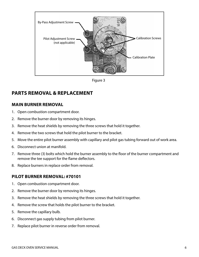

Figure 3

### **PARTS REMOVAL & REPLACEMENT**

#### **MAIN BURNER REMOVAL**

- 1. Open combustion compartment door.
- 2. Remove the burner door by removing its hinges.
- 3. Remove the heat shields by removing the three screws that hold it together.
- 4. Remove the two screws that hold the pilot burner to the bracket.
- 5. Move the entire pilot burner assembly with capillary and pilot gas tubing forward out of work area.
- 6. Disconnect union at manifold.
- 7. Remove three (3) bolts which hold the burner assembly to the floor of the burner compartment and remove the tee support for the flame deflectors.
- 8. Replace burners in replace order from removal.

#### **PILOT BURNER REMOVAL: #70101**

- 1. Open combustion compartment door.
- 2. Remove the burner door by removing its hinges.
- 3. Remove the heat shields by removing the three screws that hold it together.
- 4. Remove the screw that holds the pilot burner to the bracket.
- 5. Remove the capillary bulb.
- 6. Disconnect gas supply tubing from pilot burner.
- 7. Replace pilot burner in reverse order from removal.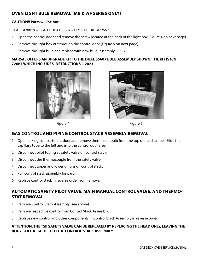#### **OVEN LIGHT BULB REMOVAL (MB & WF SERIES ONLY)**

#### **CAUTION!! Parts will be hot!**

GLASS #70019 – LIGHT BULB #55607 – UPGRADE KIT #72667

- 1. Open the control door and remove the screw located at the back of the light box (Figure 4 on next page).
- 2. Remove the light box out through the control door (Figure 5 on next page).
- 3. Remove the light bulb and replace with new bulb (assembly 55607).

#### **MARSAL OFFERS AN UPGRADE KIT TO THE DUAL 55607 BULB ASSEMBLY SHOWN. THE KIT IS P/N 72667 WHICH INCLUDES INSTRUCTIONS L-2023.**









#### **GAS CONTROL AND PIPING CONTROL STACK ASSEMBLY REMOVAL**

- 1. Open baking compartment door and remove thermostat bulb from the top of the chamber. Slide the capillary tube to the left and into the control door area.
- 2. Disconnect pilot tubing at safety valve on control stack.
- 3. Disconnect the thermocouple from the safety valve.
- 4. Disconnect upper and lower unions on control stack.
- 5. Pull control stack assembly forward.
- 6. Replace control stack in reverse order from removal.

#### **AUTOMATIC SAFETY PILOT VALVE, MAIN MANUAL CONTROL VALVE, AND THERMO-STAT REMOVAL**

- 1. Remove Control Stack Assembly (see above).
- 2. Remove respective control from Control Stack Assembly.
- 3. Replace new control and other components in Control Stack Assembly in reverse order.

#### **ATTENTION: THE TSII SAFETY VALVE CAN BE REPLACED BY REPLACING THE HEAD ONLY, LEAVING THE BODY STILL ATTACHED TO THE CONTROL STACK ASSEMBLY.**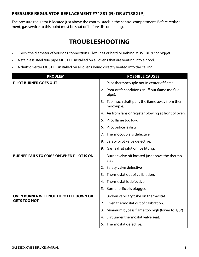#### **PRESSURE REGULATOR REPLACEMENT #71881 (N) OR #71882 (P)**

The pressure regulator is located just above the control stack in the control compartment. Before replacement, gas service to this point must be shut off before disconnecting.

# **TROUBLESHOOTING**

- Check the diameter of your gas connections. Flex lines or hard plumbing MUST BE 34" or bigger.
- A stainless steel flue pipe MUST BE installed on all ovens that are venting into a hood.
- A draft diverter MUST BE installed on all ovens being directly vented into the ceiling.

| <b>PROBLEM</b>                                  | <b>POSSIBLE CAUSES</b>                                            |
|-------------------------------------------------|-------------------------------------------------------------------|
| <b>PILOT BURNER GOES OUT</b>                    | 1. Pilot thermocouple not in center of flame.                     |
|                                                 | Poor draft conditions snuff out flame (no flue<br>2.<br>pipe).    |
|                                                 | Too much draft pulls the flame away from ther-<br>3.<br>mocouple. |
|                                                 | Air from fans or register blowing at front of oven.<br>4.         |
|                                                 | Pilot flame too low.<br>5.                                        |
|                                                 | Pilot orifice is dirty.<br>6.                                     |
|                                                 | Thermocouple is defective.<br>7.                                  |
|                                                 | Safety pilot valve defective.<br>8.                               |
|                                                 | Gas leak at pilot orifice fitting.<br>9.                          |
| <b>BURNER FAILS TO COME ON WHEN PILOT IS ON</b> | Burner valve off located just above the thermo-<br>1.<br>stat.    |
|                                                 | Safety valve defective.<br>2.                                     |
|                                                 | Thermostat out of calibration.<br>3.                              |
|                                                 | Thermostat is defective.<br>4.                                    |
|                                                 | Burner orifice is plugged.<br>5.                                  |
| OVEN BURNER WILL NOT THROTTLE DOWN OR           | Broken capillary tube on thermostat.<br>1.                        |
| <b>GETS TOO HOT</b>                             | Oven thermostat out of calibration.<br>2.                         |
|                                                 | Minimum bypass flame too high (lower to 1/8")<br>3.               |
|                                                 | Dirt under thermostat valve seat.<br>4.                           |
|                                                 | Thermostat defective.<br>5.                                       |